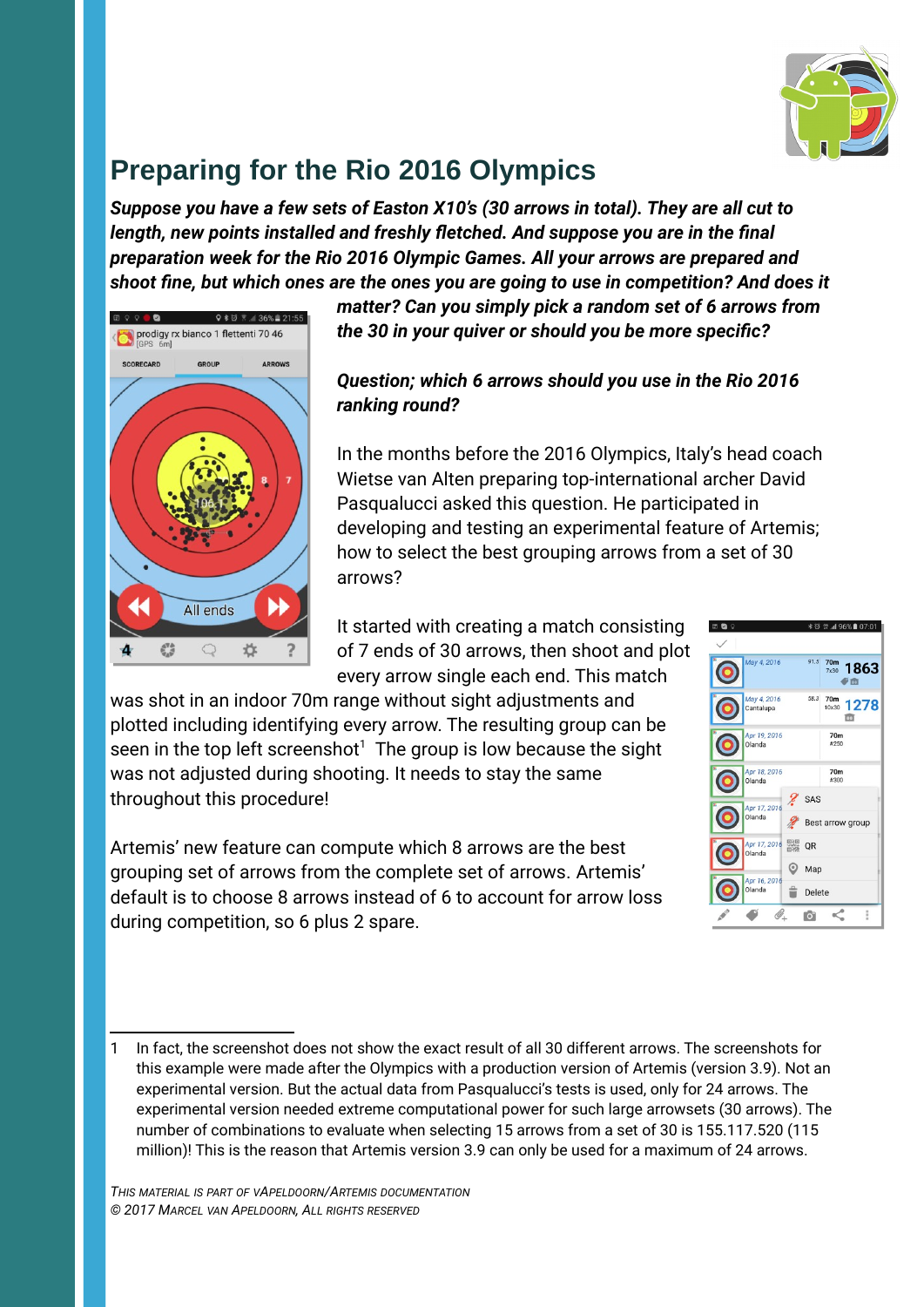

# **Preparing for the Rio 2016 Olympics**

*Suppose you have a few sets of Easton X10's (30 arrows in total). They are all cut to length, new points installed and freshly fletched. And suppose you are in the final preparation week for the Rio 2016 Olympic Games. All your arrows are prepared and shoot fine, but which ones are the ones you are going to use in competition? And does it* 



*matter? Can you simply pick a random set of 6 arrows from the 30 in your quiver or should you be more specific?* 

#### *Question; which 6 arrows should you use in the Rio 2016 ranking round?*

In the months before the 2016 Olympics, Italy's head coach Wietse van Alten preparing top-international archer David Pasqualucci asked this question. He participated in developing and testing an experimental feature of Artemis; how to select the best grouping arrows from a set of 30 arrows?

It started with creating a match consisting of 7 ends of 30 arrows, then shoot and plot every arrow single each end. This match

was shot in an indoor 70m range without sight adjustments and plotted including identifying every arrow. The resulting group can be seen in the top left screenshot $^1$  $^1$  The group is low because the sight was not adjusted during shooting. It needs to stay the same throughout this procedure!

Artemis' new feature can compute which 8 arrows are the best grouping set of arrows from the complete set of arrows. Artemis' default is to choose 8 arrows instead of 6 to account for arrow loss during competition, so 6 plus 2 spare.



<span id="page-0-0"></span><sup>1</sup> In fact, the screenshot does not show the exact result of all 30 different arrows. The screenshots for this example were made after the Olympics with a production version of Artemis (version 3.9). Not an experimental version. But the actual data from Pasqualucci's tests is used, only for 24 arrows. The experimental version needed extreme computational power for such large arrowsets (30 arrows). The number of combinations to evaluate when selecting 15 arrows from a set of 30 is 155.117.520 (115 million)! This is the reason that Artemis version 3.9 can only be used for a maximum of 24 arrows.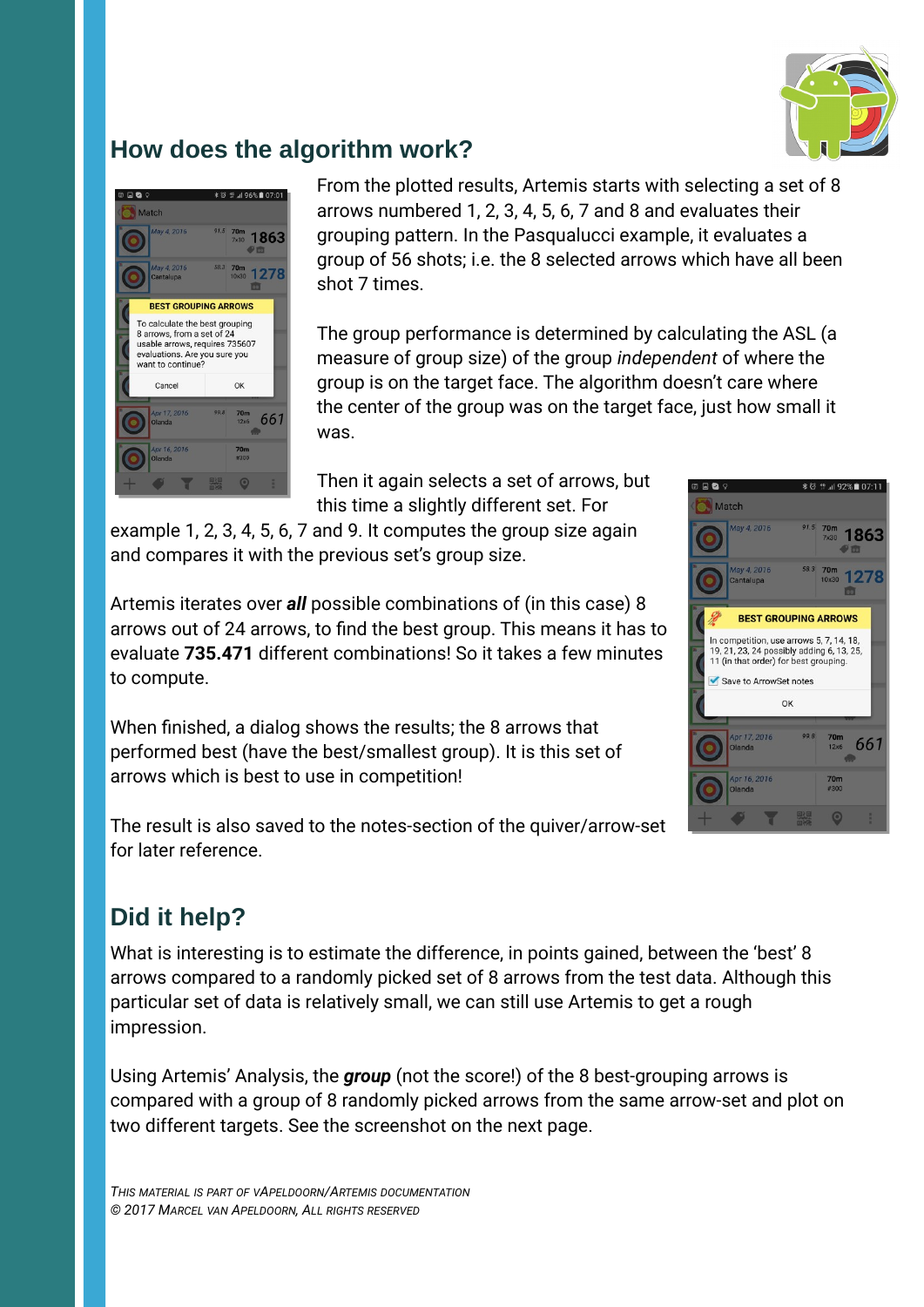

### **How does the algorithm work?**



From the plotted results, Artemis starts with selecting a set of 8 arrows numbered 1, 2, 3, 4, 5, 6, 7 and 8 and evaluates their grouping pattern. In the Pasqualucci example, it evaluates a group of 56 shots; i.e. the 8 selected arrows which have all been shot 7 times.

The group performance is determined by calculating the ASL (a measure of group size) of the group *independent* of where the group is on the target face. The algorithm doesn't care where the center of the group was on the target face, just how small it was.

Then it again selects a set of arrows, but this time a slightly different set. For

example 1, 2, 3, 4, 5, 6, 7 and 9. It computes the group size again and compares it with the previous set's group size.

Artemis iterates over *all* possible combinations of (in this case) 8 arrows out of 24 arrows, to find the best group. This means it has to evaluate **735.471** different combinations! So it takes a few minutes to compute.

When finished, a dialog shows the results; the 8 arrows that performed best (have the best/smallest group). It is this set of arrows which is best to use in competition!

The result is also saved to the notes-section of the quiver/arrow-set for later reference.

## **Did it help?**

What is interesting is to estimate the difference, in points gained, between the 'best' 8 arrows compared to a randomly picked set of 8 arrows from the test data. Although this particular set of data is relatively small, we can still use Artemis to get a rough impression.

Using Artemis' Analysis, the *group* (not the score!) of the 8 best-grouping arrows is compared with a group of 8 randomly picked arrows from the same arrow-set and plot on two different targets. See the screenshot on the next page.

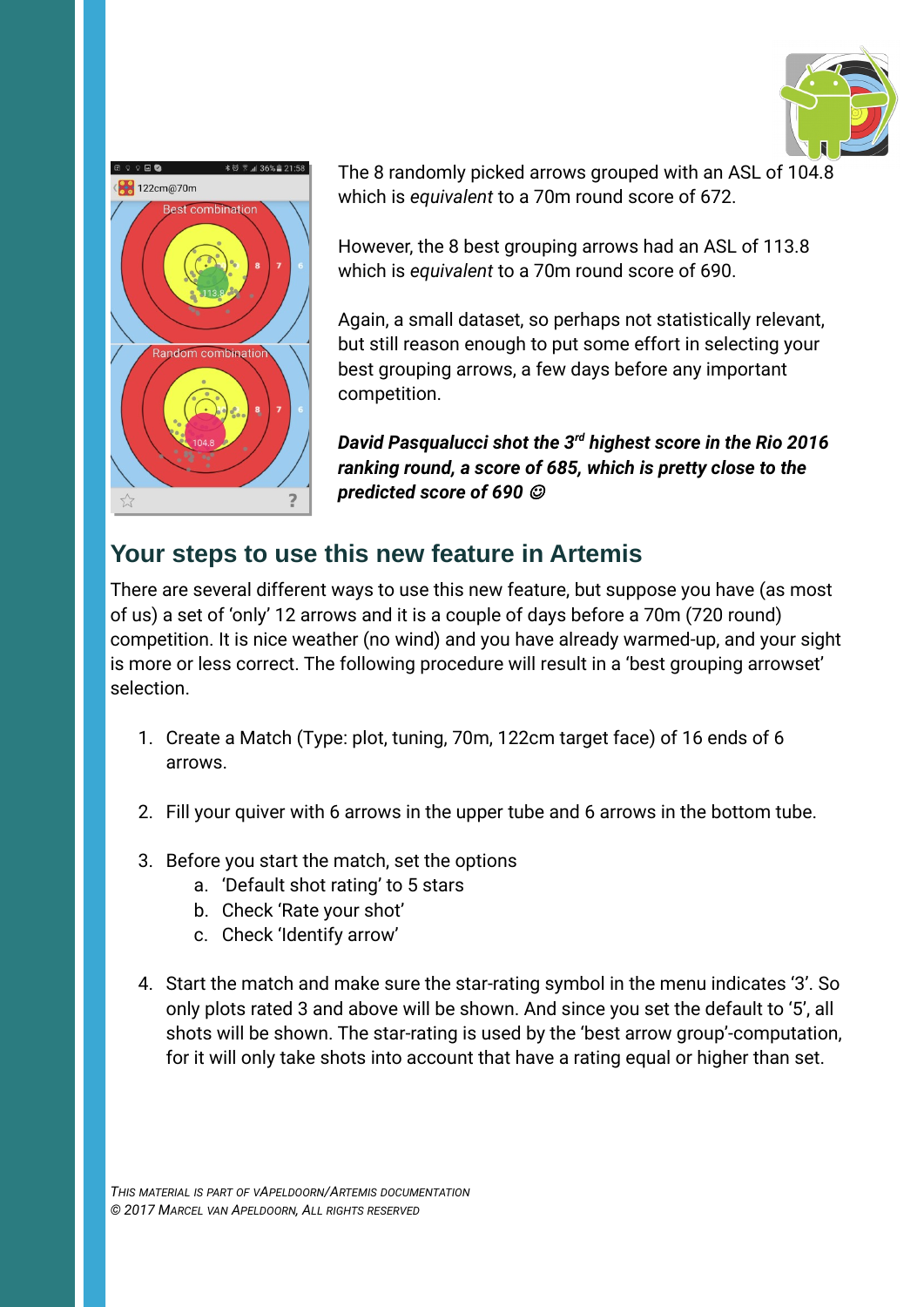



The 8 randomly picked arrows grouped with an ASL of 104.8 which is *equivalent* to a 70m round score of 672.

However, the 8 best grouping arrows had an ASL of 113.8 which is *equivalent* to a 70m round score of 690.

Again, a small dataset, so perhaps not statistically relevant, but still reason enough to put some effort in selecting your best grouping arrows, a few days before any important competition.

*David Pasqualucci shot the 3rd highest score in the Rio 2016 ranking round, a score of 685, which is pretty close to the predicted score of 690* 

### **Your steps to use this new feature in Artemis**

There are several different ways to use this new feature, but suppose you have (as most of us) a set of 'only' 12 arrows and it is a couple of days before a 70m (720 round) competition. It is nice weather (no wind) and you have already warmed-up, and your sight is more or less correct. The following procedure will result in a 'best grouping arrowset' selection.

- 1. Create a Match (Type: plot, tuning, 70m, 122cm target face) of 16 ends of 6 arrows.
- 2. Fill your quiver with 6 arrows in the upper tube and 6 arrows in the bottom tube.
- 3. Before you start the match, set the options
	- a. 'Default shot rating' to 5 stars
	- b. Check 'Rate your shot'
	- c. Check 'Identify arrow'
- 4. Start the match and make sure the star-rating symbol in the menu indicates '3'. So only plots rated 3 and above will be shown. And since you set the default to '5', all shots will be shown. The star-rating is used by the 'best arrow group'-computation, for it will only take shots into account that have a rating equal or higher than set.